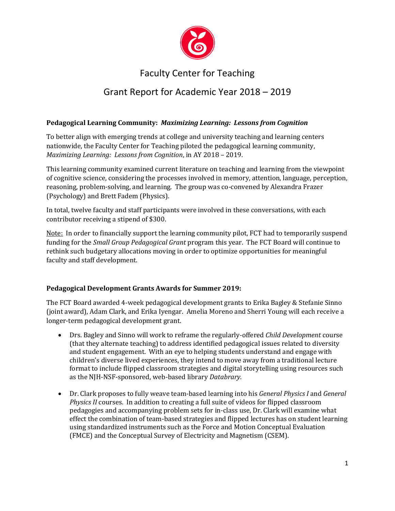

# Faculty Center for Teaching

## Grant Report for Academic Year 2018 – 2019

### **Pedagogical Learning Community:** *Maximizing Learning: Lessons from Cognition*

To better align with emerging trends at college and university teaching and learning centers nationwide, the Faculty Center for Teaching piloted the pedagogical learning community, *Maximizing Learning: Lessons from Cognition*, in AY 2018 – 2019.

This learning community examined current literature on teaching and learning from the viewpoint of cognitive science, considering the processes involved in memory, attention, language, perception, reasoning, problem-solving, and learning. The group was co-convened by Alexandra Frazer (Psychology) and Brett Fadem (Physics).

In total, twelve faculty and staff participants were involved in these conversations, with each contributor receiving a stipend of \$300.

Note: In order to financially support the learning community pilot, FCT had to temporarily suspend funding for the *Small Group Pedagogical Grant* program this year. The FCT Board will continue to rethink such budgetary allocations moving in order to optimize opportunities for meaningful faculty and staff development.

#### **Pedagogical Development Grants Awards for Summer 2019:**

The FCT Board awarded 4-week pedagogical development grants to Erika Bagley & Stefanie Sinno (joint award), Adam Clark, and Erika Iyengar. Amelia Moreno and Sherri Young will each receive a longer-term pedagogical development grant.

- Drs. Bagley and Sinno will work to reframe the regularly-offered *Child Development* course (that they alternate teaching) to address identified pedagogical issues related to diversity and student engagement. With an eye to helping students understand and engage with children's diverse lived experiences, they intend to move away from a traditional lecture format to include flipped classroom strategies and digital storytelling using resources such as the NJH-NSF-sponsored, web-based library *Databrary.*
- Dr. Clark proposes to fully weave team-based learning into his *General Physics I* and *General Physics II* courses. In addition to creating a full suite of videos for flipped classroom pedagogies and accompanying problem sets for in-class use, Dr. Clark will examine what effect the combination of team-based strategies and flipped lectures has on student learning using standardized instruments such as the Force and Motion Conceptual Evaluation (FMCE) and the Conceptual Survey of Electricity and Magnetism (CSEM).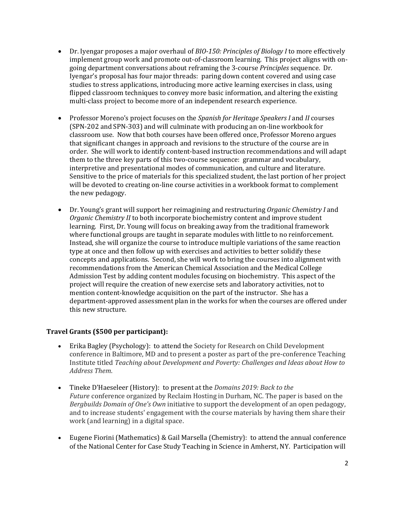- Dr. Iyengar proposes a major overhaul of *BIO-150: Principles of Biology I* to more effectively implement group work and promote out-of-classroom learning. This project aligns with ongoing department conversations about reframing the 3-course *Principles* sequence. Dr. Iyengar's proposal has four major threads: paring down content covered and using case studies to stress applications, introducing more active learning exercises in class, using flipped classroom techniques to convey more basic information, and altering the existing multi-class project to become more of an independent research experience.
- Professor Moreno's project focuses on the *Spanish for Heritage Speakers I* and *II* courses (SPN-202 and SPN-303) and will culminate with producing an on-line workbook for classroom use. Now that both courses have been offered once, Professor Moreno argues that significant changes in approach and revisions to the structure of the course are in order. She will work to identify content-based instruction recommendations and will adapt them to the three key parts of this two-course sequence: grammar and vocabulary, interpretive and presentational modes of communication, and culture and literature. Sensitive to the price of materials for this specialized student, the last portion of her project will be devoted to creating on-line course activities in a workbook format to complement the new pedagogy.
- Dr. Young's grant will support her reimagining and restructuring *Organic Chemistry I* and *Organic Chemistry II* to both incorporate biochemistry content and improve student learning. First, Dr. Young will focus on breaking away from the traditional framework where functional groups are taught in separate modules with little to no reinforcement. Instead, she will organize the course to introduce multiple variations of the same reaction type at once and then follow up with exercises and activities to better solidify these concepts and applications. Second, she will work to bring the courses into alignment with recommendations from the American Chemical Association and the Medical College Admission Test by adding content modules focusing on biochemistry. This aspect of the project will require the creation of new exercise sets and laboratory activities, not to mention content-knowledge acquisition on the part of the instructor. She has a department-approved assessment plan in the works for when the courses are offered under this new structure.

#### **Travel Grants (\$500 per participant):**

- Erika Bagley (Psychology): to attend the Society for Research on Child Development conference in Baltimore, MD and to present a poster as part of the pre-conference Teaching Institute titled *Teaching about Development and Poverty: Challenges and Ideas about How to Address Them*.
- Tineke D'Haeseleer (History): to present at the *Domains 2019: Back to the Future* conference organized by Reclaim Hosting in Durham, NC. The paper is based on the *Bergbuilds Domain of One's Own* initiative to support the development of an open pedagogy, and to increase students' engagement with the course materials by having them share their work (and learning) in a digital space.
- Eugene Fiorini (Mathematics) & Gail Marsella (Chemistry): to attend the annual conference of the National Center for Case Study Teaching in Science in Amherst, NY. Participation will